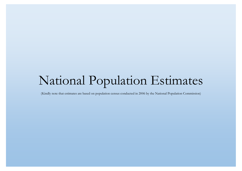## National Population Estimates

(Kindly note that estimates are based on population census conducted in 2006 by the National Population Commission)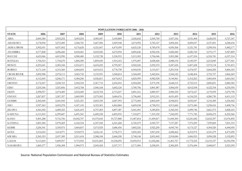|                    | POPULATION FORECASTS 2006 - 2016 |           |            |            |            |            |            |            |            |            |            |  |  |  |
|--------------------|----------------------------------|-----------|------------|------------|------------|------------|------------|------------|------------|------------|------------|--|--|--|
| <b>STATE</b>       | 2006                             | 2007      | 2008       | 2009       | 2010       | 2011       | 2012       | 2013       | 2014       | 2015       | 2016       |  |  |  |
| ABIA               | 2,845,380                        | 2,923,252 | 3,003,255  | 3,085,447  | 3,169,889  | 3,256,642  | 3,345,769  | 3,437,336  | 3,531,408  | 3,628,055  | 3,727,347  |  |  |  |
| <b>ADAMAWA</b>     | 3,178,950                        | 3,272,489 | 3,368,781  | 3,467,906  | 3,569,948  | 3,674,992  | 3,783,127  | 3,894,444  | 4,009,037  | 4,127,001  | 4,248,436  |  |  |  |
| AKWA/IBOM          | 3,902,051                        | 4,037,002 | 4,176,620  | 4,321,067  | 4,470,509  | 4,625,120  | 4,785,078  | 4,950,568  | 5,121,781  | 5,298,916  | 5,482,177  |  |  |  |
| <b>ANAMBRA</b>     | 4,177,828                        | 4,296,460 | 4,418,461  | 4,543,926  | 4,672,954  | 4,805,646  | 4,942,106  | 5,082,440  | 5,226,760  | 5,375,177  | 5,527,809  |  |  |  |
| <b>BAUCHI</b>      | 4,653,066                        | 4,813,990 | 4,980,480  | 5,152,728  | 5,330,933  | 5,515,302  | 5,706,046  | 5,903,388  | 6,107,554  | 6,318,781  | 6,537,314  |  |  |  |
| <b>BAYELSA</b>     | 1,704,515                        | 1,754,670 | 1,806,300  | 1,859,450  | 1,914,163  | 1,970,487  | 2,028,468  | 2,088,154  | 2,149,597  | 2,212,849  | 2,277,961  |  |  |  |
| <b>BENUE</b>       | 4,253,641                        | 4,383,184 | 4,516,671  | 4,654,225  | 4,795,967  | 4,942,026  | 5,092,533  | 5,247,624  | 5,407,438  | 5,572,118  | 5,741,815  |  |  |  |
| <b>BORNO</b>       | 4,171,104                        | 4,315,360 | 4,464,605  | 4,619,012  | 4,778,758  | 4,944,030  | 5,115,017  | 5,291,918  | 5,474,937  | 5,664,285  | 5,860,183  |  |  |  |
| <b>CROSS RIVER</b> | 2,892,988                        | 2,978,113 | 3,065,743  | 3,155,951  | 3,248,814  | 3,344,409  | 3,442,816  | 3,544,120  | 3,648,404  | 3,755,757  | 3,866,269  |  |  |  |
| <b>DELTA</b>       | 4,112,445                        | 4,246,171 | 4,384,246  | 4,526,811  | 4,674,012  | 4,825,999  | 4,982,928  | 5,144,961  | 5,312,262  | 5,485,004  | 5,663,362  |  |  |  |
| <b>EBONYI</b>      | 2,176,947                        | 2,238,763 | 2,302,334  | 2,367,710  | 2,434,943  | 2,504,085  | 2,575,190  | 2,648,315  | 2,723,515  | 2,800,851  | 2,880,383  |  |  |  |
| <b>EDO</b>         | 3,233,366                        | 3,321,856 | 3,412,768  | 3,506,168  | 3,602,124  | 3,700,706  | 3,801,987  | 3,906,039  | 4,012,938  | 4,122,764  | 4,235,595  |  |  |  |
| <b>EKITI</b>       | 2,398,957                        | 2,474,489 | 2,552,400  | 2,632,764  | 2,715,657  | 2,801,161  | 2,889,357  | 2,980,330  | 3,074,167  | 3,170,959  | 3,270,798  |  |  |  |
| <b>ENUGU</b>       | 3,267,837                        | 3,367,357 | 3,469,909  | 3,575,583  | 3,684,476  | 3,796,685  | 3,912,311  | 4,031,459  | 4,154,235  | 4,280,750  | 4,411,119  |  |  |  |
| <b>GOMBE</b>       | 2,365,040                        | 2,441,945 | 2,521,351  | 2,603,339  | 2,687,993  | 2,775,400  | 2,865,649  | 2,958,833  | 3,055,047  | 3,154,389  | 3,256,962  |  |  |  |
| $\rm{IMO}$         | 3,927,563                        | 4,055,278 | 4,187,145  | 4,323,301  | 4,463,884  | 4,609,038  | 4,758,912  | 4,913,660  | 5,073,440  | 5,238,416  | 5,408,756  |  |  |  |
| <b>JIGAWA</b>      | 4,361,002                        | 4,489,323 | 4,621,419  | 4,757,403  | 4,897,387  | 5,041,491  | 5,189,835  | 5,342,543  | 5,499,746  | 5,661,573  | 5,828,163  |  |  |  |
| <b>KADUNA</b>      | 6,113,503                        | 6,299,687 | 6,491,541  | 6,689,238  | 6,892,955  | 7,102,877  | 7,319,192  | 7,542,095  | 7,771,785  | 8,008,472  | 8,252,366  |  |  |  |
| <b>KANO</b>        | 9,401,288                        | 9,716,706 | 10,042,707 | 10,379,645 | 10,727,888 | 11,087,814 | 11,459,817 | 11,844,300 | 12,241,682 | 12,652,397 | 13,076,892 |  |  |  |
| <b>KATSINA</b>     | 5,801,584                        | 5,978,269 | 6,160,334  | 6,347,944  | 6,541,268  | 6,740,479  | 6,945,757  | 7,157,287  | 7,375,259  | 7,599,869  | 7,831,319  |  |  |  |
| <b>KEBBI</b>       | 3,256,541                        | 3,359,075 | 3,464,837  | 3,573,929  | 3,686,456  | 3,802,526  | 3,922,250  | 4,045,745  | 4,173,127  | 4,304,520  | 4,440,050  |  |  |  |
| KOGI               | 3,314,043                        | 3,414,971 | 3,518,972  | 3,626,141  | 3,736,573  | 3,850,369  | 3,967,630  | 4,088,462  | 4,212,974  | 4,341,279  | 4,473,490  |  |  |  |
| <b>KWARA</b>       | 2,365,353                        | 2,437,389 | 2,511,618  | 2,588,108  | 2,666,928  | 2,748,148  | 2,831,842  | 2,918,084  | 3,006,953  | 3,098,528  | 3,192,893  |  |  |  |
| LAGOS              | 9,113,605                        | 9,409,957 | 9,715,945  | 10,031,883 | 10,358,095 | 10,694,915 | 11,042,686 | 11,401,767 | 11,772,524 | 12,155,337 | 12,550,598 |  |  |  |
| <b>NASARAWA</b>    | 1,869,377                        | 1,926,308 | 1,984,973  | 2,045,424  | 2,107,717  | 2,171,906  | 2,238,051  | 2,306,209  | 2,376,444  | 2,448,817  | 2,523,395  |  |  |  |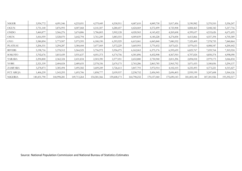| <b>NIGER</b>     | 3,954,772   | 4,091,546   | 4,233,051   | 4,379,449   | 4,530,911   | 4,687,610   | 4,849,730   | 5,017,456   | 5,190,982   | 5,370,510     | 5,556,247   |
|------------------|-------------|-------------|-------------|-------------|-------------|-------------|-------------|-------------|-------------|---------------|-------------|
|                  |             |             |             |             |             |             |             |             |             |               |             |
| <b>OGUN</b>      | 3,751,140   | 3,876,993   | 4,007,068   | 4, 141, 507 | 4,280,457   | 4,424,069   | 4,572,499   | 4,725,908   | 4,884,465   | 5,048,342     | 5,217,716   |
| <b>ONDO</b>      | 3,460,877   | 3,566,276   | 3,674,886   | 3,786,803   | 3,902,128   | 4,020,965   | 4, 143, 422 | 4,269,608   | 4,399,637   | 4,533,626     | 4,671,695   |
| <b>OSUN</b>      | 3,416,959   | 3,528,070   | 3,642,794   | 3,761,249   | 3,883,555   | 4,009,839   | 4,140,228   | 4,274,858   | 4,413,866   | 4,557,394     | 4,705,589   |
| <b>OYO</b>       | 5,580,894   | 5,773,907   | 5,973,595   | 6,180,190   | 6,393,929   | 6,615,061   | 6,843,840   | 7,080,532   | 7,325,409   | 7,578,755     | 7,840,864   |
| <b>PLATEAU</b>   | 3,206,531   | 3,294,287   | 3,384,444   | 3,477,069   | 3,572,229   | 3,669,993   | 3,770,432   | 3,873,621   | 3,979,633   | 4,088,547     | 4,200,442   |
| <b>RIVERS</b>    | 5,198,716   | 5,378,512   | 5,564,525   | 5,756,972   | 5,956,075   | 6,162,063   | 6,375,176   | 6,595,659   | 6,823,767   | 7,059,764     | 7,303,924   |
| SOKOTO           | 3,702,676   | 3,815,439   | 3,931,637   | 4,051,373   | 4,174,756   | 4,301,896   | 4,432,908   | 4,567,910   | 4,707,024   | 4,850,374     | 4,998,090   |
| TARABA           | 2,294,800   | 2,362,324   | 2,431,834   | 2,503,390   | 2,577,051   | 2,652,880   | 2,730,940   | 2,811,296   | 2,894,018   | 2,979,173     | 3,066,834   |
| YOBE             | 2,321,339   | 2,404,024   | 2,489,655   | 2,578,336   | 2,670,175   | 2,765,286   | 2,863,785   | 2,965,792   | 3,071,433   | 3,180,836     | 3,294,137   |
| ZAMFARA          | 3,278,873   | 3,385,494   | 3,495,582   | 3,609,249   | 3,726,613   | 3,847,793   | 3,972,914   | 4,102,103   | 4,235,493   | 4,373,221     | 4,515,427   |
| <b>FCT ABUJA</b> | 1,406,239   | 1,543,293   | 1,693,706   | 1,858,777   | 2,039,937   | 2,238,752   | 2,456,945   | 2,696,403   | 2,959,199   | 3,247,608     | 3,564,126   |
| <b>NIGERIA</b>   | 140,431,790 | 144,998,281 | 149,713,264 | 154,581,566 | 159,608,173 | 164,798,232 | 170,157,060 | 175,690,143 | 181,403,148 | 187, 301, 926 | 193,392,517 |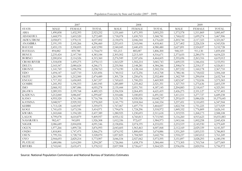|                    |             | 2007          |              |             | 2008          |              | 2009        |               |              |  |
|--------------------|-------------|---------------|--------------|-------------|---------------|--------------|-------------|---------------|--------------|--|
| <b>STATE</b>       | <b>MALE</b> | <b>FEMALE</b> | <b>TOTAL</b> | <b>MALE</b> | <b>FEMALE</b> | <b>TOTAL</b> | <b>MALE</b> | <b>FEMALE</b> | <b>TOTAL</b> |  |
| <b>ABIA</b>        | 1,490,858   | 1,432,393     | 2,923,252    | 1,531,660   | 1,471,595     | 3,003,255    | 1,573,578   | 1,511,869     | 3,085,447    |  |
| <b>ADAMAWA</b>     | 1,668,970   | 1,603,520     | 3,272,489    | 1,718,078   | 1,650,703     | 3,368,781    | 1,768,632   | 1,699,274     | 3,467,906    |  |
| AKWA/IBOM          | 2,058,871   | 1,978,131     | 4,037,002    | 2,130,076   | 2,046,544     | 4,176,620    | 2,203,744   | 2,117,323     | 4,321,067    |  |
| <b>ANAMBRA</b>     | 2,191,195   | 2,105,266     | 4,296,460    | 2,253,415   | 2,165,046     | 4,418,461    | 2,317,402   | 2,226,524     | 4,543,926    |  |
| <b>BAUCHI</b>      | 2,455,135   | 2,358,855     | 4,813,990    | 2,540,045   | 2,440,435     | 4,980,480    | 2,627,891   | 2,524,837     | 5,152,728    |  |
| <b>BAYELSA</b>     | 894,882     | 859,788       | 1,754,670    | 921,213     | 885,087       | 1,806,300    | 948,319     | 911,130       | 1,859,450    |  |
| <b>BENUE</b>       | 2,235,424   | 2,147,760     | 4,383,184    | 2,303,502   | 2,213,169     | 4,516,671    | 2,373,655   | 2,280,570     | 4,654,225    |  |
| <b>BORNO</b>       | 2,200,834   | 2,114,526     | 4,315,360    | 2,276,949   | 2,187,656     | 4,464,605    | 2,355,696   | 2,263,316     | 4,619,012    |  |
| <b>CROSS RIVER</b> | 1,518,838   | 1,459,275     | 2,978,113    | 1,563,529   | 1,502,214     | 3,065,743    | 1,609,535   | 1,546,416     | 3,155,951    |  |
| <b>DELTA</b>       | 2,165,547   | 2,080,624     | 4,246,171    | 2,235,966   | 2,148,281     | 4,384,246    | 2,308,674   | 2,218,137     | 4,526,811    |  |
| <b>EBONYI</b>      | 1,141,769   | 1,096,994     | 2,238,763    | 1,174,190   | 1,128,144     | 2,302,334    | 1,207,532   | 1,160,178     | 2,367,710    |  |
| EDO                | 1,694,147   | 1,627,710     | 3,321,856    | 1,740,512   | 1,672,256     | 3,412,768    | 1,788,146   | 1,718,022     | 3,506,168    |  |
| <b>EKITI</b>       | 1,261,990   | 1,212,500     | 2,474,489    | 1,301,724   | 1,250,676     | 2,552,400    | 1,342,709   | 1,290,054     | 2,632,764    |  |
| <b>ENUGU</b>       | 1,717,352   | 1,650,005     | 3,367,357    | 1,769,653   | 1,700,255     | 3,469,909    | 1,823,547   | 1,752,036     | 3,575,583    |  |
| <b>GOMBE</b>       | 1,245,392   | 1,196,553     | 2,441,945    | 1,285,889   | 1,235,462     | 2,521,351    | 1,327,703   | 1,275,636     | 2,603,339    |  |
| <b>IMO</b>         | 2,068,192   | 1,987,086     | 4,055,278    | 2,135,444   | 2,051,701     | 4,187,145    | 2,204,883   | 2,118,417     | 4,323,301    |  |
| <b>JIGAWA</b>      | 2,289,555   | 2,199,768     | 4,489,323    | 2,356,924   | 2,264,495     | 4,621,419    | 2,426,275   | 2,331,127     | 4,757,403    |  |
| <b>KADUNA</b>      | 3,212,840   | 3,086,847     | 6,299,687    | 3,310,686   | 3,180,855     | 6,491,541    | 3,411,511   | 3,277,727     | 6,689,238    |  |
| <b>KANO</b>        | 4,955,520   | 4,761,186     | 9,716,706    | 5,121,781   | 4,920,926     | 10,042,707   | 5,293,619   | 5,086,026     | 10,379,645   |  |
| <b>KATSINA</b>     | 3,048,917   | 2,929,352     | 5,978,269    | 3,141,770   | 3,018,564     | 6,160,334    | 3,237,451   | 3,110,493     | 6,347,944    |  |
| <b>KEBBI</b>       | 1,713,128   | 1,645,947     | 3,359,075    | 1,767,067   | 1,697,770     | 3,464,837    | 1,822,704   | 1,751,225     | 3,573,929    |  |
| <b>KOGI</b>        | 1,741,635   | 1,673,336     | 3,414,971    | 1,794,676   | 1,724,296     | 3,518,972    | 1,849,332   | 1,776,809     | 3,626,141    |  |
| <b>KWARA</b>       | 1,243,068   | 1,194,320     | 2,437,389    | 1,280,925   | 1,230,693     | 2,511,618    | 1,319,935   | 1,268,173     | 2,588,108    |  |
| <b>LAGOS</b>       | 4,799,078   | 4,610,879     | 9,409,957    | 4,955,132   | 4,760,813     | 9,715,945    | 5,116,260   | 4,915,623     | 10,031,883   |  |
| <b>NASARAWA</b>    | 982,417     | 943,891       | 1,926,308    | 1,012,336   | 972,637       | 1,984,973    | 1,043,166   | 1,002,258     | 2,045,424    |  |
| <b>NIGER</b>       | 2,086,689   | 2,004,858     | 4,091,546    | 2,158,856   | 2,074,195     | 4,233,051    | 2,233,519   | 2,145,930     | 4,379,449    |  |
| <b>OGUN</b>        | 1,977,266   | 1,899,726     | 3,876,993    | 2,043,605   | 1,963,463     | 4,007,068    | 2,112,169   | 2,029,339     | 4,141,507    |  |
| <b>ONDO</b>        | 1,818,801   | 1,747,475     | 3,566,276    | 1,874,192   | 1,800,694     | 3,674,886    | 1,931,269   | 1,855,533     | 3,786,803    |  |
| <b>OSUN</b>        | 1,799,316   | 1,728,754     | 3,528,070    | 1,857,825   | 1,784,969     | 3,642,794    | 1,918,237   | 1,843,012     | 3,761,249    |  |
| <b>OYO</b>         | 2,944,693   | 2,829,214     | 5,773,907    | 3,046,534   | 2,927,062     | 5,973,595    | 3,151,897   | 3,028,293     | 6,180,190    |  |
| <b>PLATEAU</b>     | 1,680,086   | 1,614,200     | 3,294,287    | 1,726,066   | 1,658,378     | 3,384,444    | 1,773,305   | 1,703,764     | 3,477,069    |  |
| <b>RIVERS</b>      | 2,743,041   | 2,635,471     | 5,378,512    | 2,837,908   | 2,726,617     | 5,564,525    | 2,936,056   | 2,820,916     | 5,756,972    |  |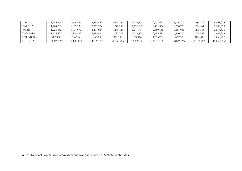| SOKOTO           | .945,874   | ,869,565   | 3,815,439   | 2,005,135    | 1,926,502  | 3,931,637   | 2,066,200  | 1,985,173  | 4,051,373   |
|------------------|------------|------------|-------------|--------------|------------|-------------|------------|------------|-------------|
| <b>TARABA</b>    | ,204,785   | .157,539   | 2,362,324   | ,240,235     | .191,599   | 2,431,834   | 1,276,729  | .226,661   | 2,503,390   |
| YOBE             | ,226,052   | .177.972   | 2,404,024   | ,269,724     | .219,931   | 2,489,655   | .314,951   | .263,385   | 2,578,336   |
| ZAMFARA          | ,726,602   | .658,892   | 3,385,494   | 1,782,747    | ,712,835   | 3,495,582   | .840,717   | .768,532   | 3,609,249   |
| <b>FCT ABUJA</b> | 787,080    | 756,214    | .543,293    | 863,790      | 829,916    | .693,706    | 947,976    | 910,801    | 1,858,777   |
| <b>NIGERIA</b>   | 73,949,124 | 71,049,158 | 144,998,281 | 76, 353, 765 | 73,359,499 | 149,713,264 | 78,836,599 | 75,744,967 | 154,581,566 |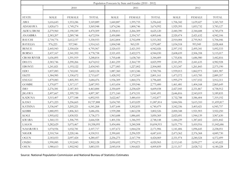|                    |             |               |              |             | Population Forecasts by State and Gender (2010 - 2012) |              |             |               |              |
|--------------------|-------------|---------------|--------------|-------------|--------------------------------------------------------|--------------|-------------|---------------|--------------|
|                    |             | 2010          |              |             | 2011                                                   |              |             | 2012          |              |
|                    |             |               |              |             |                                                        |              |             |               |              |
| <b>STATE</b>       | <b>MALE</b> | <b>FEMALE</b> | <b>TOTAL</b> | <b>MALE</b> | <b>FEMALE</b>                                          | <b>TOTAL</b> | <b>MALE</b> | <b>FEMALE</b> | <b>TOTAL</b> |
| <b>ABIA</b>        | 1,616,643   | 1,553,246     | 3,169,889    | 1,660,887   | 1,595,755                                              | 3,256,642    | 1,706,342   | 1,639,427     | 3,345,769    |
| <b>ADAMAWA</b>     | 1,820,673   | 1,749,274     | 3,569,948    | 1,874,246   | 1,800,746                                              | 3,674,992    | 1,929,395   | 1,853,732     | 3,783,127    |
| AKWA/IBOM          | 2,279,960   | 2,190,549     | 4,470,509    | 2,358,811   | 2,266,309                                              | 4,625,120    | 2,440,390   | 2,344,688     | 4,785,078    |
| ANAMBRA            | 2,383,207   | 2,289,748     | 4,672,954    | 2,450,880   | 2,354,767                                              | 4,805,646    | 2,520,474   | 2,421,632     | 4,942,106    |
| <b>BAUCHI</b>      | 2,718,776   | 2,612,157     | 5,330,933    | 2,812,804   | 2,702,498                                              | 5,515,302    | 2,910,084   | 2,795,963     | 5,706,046    |
| <b>BAYELSA</b>     | 976,223     | 937,940       | 1,914,163    | 1,004,948   | 965,539                                                | 1,970,487    | 1,034,518   | 993,949       | 2,028,468    |
| <b>BENUE</b>       | 2,445,943   | 2,350,024     | 4,795,967    | 2,520,433   | 2,421,593                                              | 4,942,026    | 2,597,192   | 2,495,341     | 5,092,533    |
| <b>BORNO</b>       | 2,437,167   | 2,341,592     | 4,778,758    | 2,521,455   | 2,422,575                                              | 4,944,030    | 2,608,659   | 2,506,358     | 5,115,017    |
| <b>CROSS RIVER</b> | 1,656,895   | 1,591,919     | 3,248,814    | 1,705,648   | 1,638,760                                              | 3,344,409    | 1,755,836   | 1,686,980     | 3,442,816    |
| <b>DELTA</b>       | 2,383,746   | 2,290,266     | 4,674,012    | 2,461,259   | 2,364,739                                              | 4,825,999    | 2,541,293   | 2,441,635     | 4,982,928    |
| <b>EBONYI</b>      | 1,241,821   | 1,193,122     | 2,434,943    | 1,277,083   | 1,227,002                                              | 2,504,085    | 1,313,347   | 1,261,843     | 2,575,190    |
| $\rm{EDO}$         | 1,837,083   | 1,765,041     | 3,602,124    | 1,887,360   | 1,813,346                                              | 3,700,706    | 1,939,013   | 1,862,973     | 3,801,987    |
| <b>EKITI</b>       | 1,384,985   | 1,330,672     | 2,715,657    | 1,428,592   | 1,372,569                                              | 2,801,161    | 1,473,572   | 1,415,785     | 2,889,357    |
| <b>ENUGU</b>       | 1,879,083   | 1,805,393     | 3,684,476    | 1,936,309   | 1,860,376                                              | 3,796,685    | 1,995,279   | 1,917,032     | 3,912,311    |
| <b>GOMBE</b>       | 1,370,877   | 1,317,117     | 2,687,993    | 1,415,454   | 1,359,946                                              | 2,775,400    | 1,461,481   | 1,404,168     | 2,865,649    |
| <b>IMO</b>         | 2,276,581   | 2,187,303     | 4,463,884    | 2,350,609   | 2,258,429                                              | 4,609,038    | 2,427,045   | 2,331,867     | 4,758,912    |
| <b>JIGAWA</b>      | 2,497,667   | 2,399,720     | 4,897,387    | 2,571,160   | 2,470,331                                              | 5,041,491    | 2,646,816   | 2,543,019     | 5,189,835    |
| <b>KADUNA</b>      | 3,515,407   | 3,377,548     | 6,892,955    | 3,622,467   | 3,480,410                                              | 7,102,877    | 3,732,788   | 3,586,404     | 7,319,192    |
| <b>KANO</b>        | 5,471,223   | 5,256,665     | 10,727,888   | 5,654,785   | 5,433,029                                              | 11,087,814   | 5,844,506   | 5,615,310     | 11,459,817   |
| <b>KATSINA</b>     | 3,336,047   | 3,205,221     | 6,541,268    | 3,437,644   | 3,302,835                                              | 6,740,479    | 3,542,336   | 3,403,421     | 6,945,757    |
| <b>KEBBI</b>       | 1,880,093   | 1,806,363     | 3,686,456    | 1,939,288   | 1,863,238                                              | 3,802,526    | 2,000,348   | 1,921,903     | 3,922,250    |
| <b>KOGI</b>        | 1,905,652   | 1,830,921     | 3,736,573    | 1,963,688   | 1,886,681                                              | 3,850,369    | 2,023,491   | 1,944,139     | 3,967,630    |
| <b>KWARA</b>       | 1,360,133   | 1,306,795     | 2,666,928    | 1,401,556   | 1,346,593                                              | 2,748,148    | 1,444,239   | 1,387,602     | 2,831,842    |
| <b>LAGOS</b>       | 5,282,629   | 5,075,467     | 10,358,095   | 5,454,406   | 5,240,508                                              | 10,694,915   | 5,631,770   | 5,410,916     | 11,042,686   |
| <b>NASARAWA</b>    | 1,074,936   | 1,032,781     | 2,107,717    | 1,107,672   | 1,064,234                                              | 2,171,906    | 1,141,406   | 1,096,645     | 2,238,051    |
| <b>NIGER</b>       | 2,310,764   | 2,220,146     | 4,530,911    | 2,390,681   | 2,296,929                                              | 4,687,610    | 2,473,362   | 2,376,368     | 4,849,730    |
| <b>OGUN</b>        | 2,183,033   | 2,097,424     | 4,280,457    | 2,256,275   | 2,167,794                                              | 4,424,069    | 2,331,974   | 2,240,524     | 4,572,499    |
| <b>ONDO</b>        | 1,990,085   | 1,912,043     | 3,902,128    | 2,050,692   | 1,970,273                                              | 4,020,965    | 2,113,145   | 2,030,277     | 4,143,422    |
| <b>OSUN</b>        | 1,980,613   | 1,902,942     | 3,883,555    | 2,045,018   | 1,964,821                                              | 4,009,839    | 2,111,517   | 2,028,712     | 4,140,228    |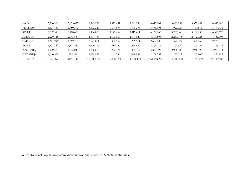| OYO              | 3,260,904  | 3,133,025  | 6,393,929   | 3,373,681  | 3,241,380  | 6,615,061   | 3,490,358  | 3,353,482  | 6,843,840   |
|------------------|------------|------------|-------------|------------|------------|-------------|------------|------------|-------------|
| <b>PLATEAU</b>   | ,821,837   | 1,750,392  | 3,572,229   | 1,871,696  | 1,798,296  | 3,669,993   | 1,922,920  | 1,847,512  | 3,770,432   |
| <b>RIVERS</b>    | 3,037,598  | 2,918,477  | 5,956,075   | 3,142,652  | 3,019,411  | 6,162,063   | 3,251,340  | 3,123,836  | 6,375,176   |
| SOKOTO           | 2,129,125  | 2,045,630  | 4,174,756   | 2,193,967  | 2,107,929  | 4,301,896   | 2,260,783  | 2,172,125  | 4,432,908   |
| <b>TARABA</b>    | ,314,296   | 1,262,755  | 2,577,051   | 1,352,969  | 1,299,911  | 2,652,880   | 1,392,779  | 1,338,160  | 2,730,940   |
| YOBE             | ,361,789   | 1,308,386  | 2,670,175   | 1,410,296  | 1,354,990  | 2,765,286   | 1,460,530  | 1,403,255  | 2,863,785   |
| <b>ZAMFARA</b>   | ,900,573   | 1,826,040  | 3,726,613   | 1,962,374  | 1,885,419  | 3,847,793   | 2,026,186  | 1,946,728  | 3,972,914   |
| <b>FCT ABUJA</b> | ,040,368   | 999,569    | 2,039,937   | 1,141,764  | 1,096,989  | 2,238,752   | 1,253,042  | 1,203,903  | 2,456,945   |
| NIGERIA          | 81,400,168 | 78,208,005 | 159,608,173 | 84,047,098 | 80,751,134 | 164,798,232 | 86,780,100 | 83,376,959 | 170,157,060 |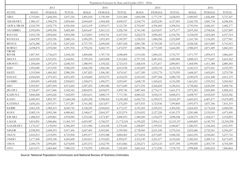Population Forecasts by State and Gender (2013 - 2016)

|                              |             | 2013          |              |             | 2014          |              |             | 2015          |              | 2016        |               |              |
|------------------------------|-------------|---------------|--------------|-------------|---------------|--------------|-------------|---------------|--------------|-------------|---------------|--------------|
| <b>STATE</b>                 | <b>MALE</b> | <b>FEMALE</b> | <b>TOTAL</b> | <b>MALE</b> | <b>FEMALE</b> | <b>TOTAL</b> | <b>MALE</b> | <b>FEMALE</b> | <b>TOTAL</b> | <b>MALE</b> | <b>FEMALE</b> | <b>TOTAL</b> |
| ABIA                         | 1,753,041   | 1,684,294     | 3,437,336    | 1,801,018   | 1,730,390     | 3,531,408    | 1,850,308   | 1,777,747     | 3,628,055    | 1,900,947   | 1,826,400     | 3,727,347    |
| <b>ADAMAWA</b>               | 1,986,167   | 1,908,278     | 3,894,444    | 2,044,609   | 1,964,428     | 4,009,037    | 2,104,770   | 2,022,230     | 4,127,001    | 2,166,702   | 2,081,734     | 4,248,436    |
| AKWA/IBOM                    | 2,524,790   | 2,425,778     | 4,950,568    | 2,612,109   | 2,509,673     | 5,121,781    | 2,702,447   | 2,596,469     | 5,298,916    | 2,795,910   | 2,686,267     | 5,482,177    |
| <b>ANAMBRA</b>               | 2,592,044   | 2,490,396     | 5,082,440    | 2,665,647   | 2,561,112     | 5,226,760    | 2,741,340   | 2,633,837     | 5,375,177    | 2,819,182   | 2,708,626     | 5,527,809    |
| <b>BAUCHI</b>                | 3,010,728   | 2,892,660     | 5,903,388    | 3,114,853   | 2,992,701     | 6,107,554    | 3,222,578   | 3,096,203     | 6,318,781    | 3,334,030   | 3,203,284     | 6,537,314    |
| <b>BAYELSA</b>               | 1,064,959   | 1,023,196     | 2,088,154    | 1,096,295   | 1,053,303     | 2,149,597    | 1,128,553   | 1,084,296     | 2,212,849    | 1,161,760   | 1,116,201     | 2,277,961    |
| <b>BENUE</b>                 | 2,676,288   | 2,571,336     | 5,247,624    | 2,757,793   | 2,649,644     | 5,407,438    | 2,841,780   | 2,730,338     | 5,572,118    | 2,928,326   | 2,813,489     | 5,741,815    |
| <b>BORNO</b>                 | 2,698,878   | 2,593,040     | 5,291,918    | 2,792,218   | 2,682,719     | 5,474,937    | 2,888,786   | 2,775,500     | 5,664,285    | 2,988,693   | 2,871,489     | 5,860,183    |
| <b>CROSS</b><br><b>RIVER</b> | 1,807,501   | 1,736,619     | 3,544,120    | 1,860,686   | 1,787,718     | 3,648,404    | 1,915,436   | 1,840,321     | 3,755,757    | 1,971,797   | 1,894,472     | 3,866,269    |
| <b>DELTA</b>                 | 2,623,930   | 2,521,031     | 5,144,961    | 2,709,254   | 2,603,008     | 5,312,262    | 2,797,352   | 2,687,652     | 5,485,004    | 2,888,315   | 2,775,047     | 5,663,362    |
| <b>EBONYI</b>                | 1,350,640   | 1,297,674     | 2,648,315    | 1,388,993   | 1,334,522     | 2,723,515    | 1,428,434   | 1,372,417     | 2,800,851    | 1,468,996   | 1,411,388     | 2,880,383    |
| <b>EDO</b>                   | 1,992,080   | 1,913,959     | 3,906,039    | 2,046,598   | 1,966,340     | 4,012,938    | 2,102,609   | 2,020,154     | 4,122,764    | 2,160,153   | 2,075,441     | 4,235,595    |
| <b>EKITI</b>                 | 1,519,968   | 1,460,362     | 2,980,330    | 1,567,825   | 1,506,342     | 3,074,167    | 1,617,189   | 1,553,770     | 3,170,959    | 1,668,107   | 1,602,691     | 3,270,798    |
| <b>ENUGU</b>                 | 2,056,044   | 1,975,415     | 4,031,459    | 2,118,660   | 2,035,575     | 4,154,235    | 2,183,183   | 2,097,568     | 4,280,750    | 2,249,670   | 2,161,448     | 4,411,119    |
| <b>GOMBE</b>                 | 1,509,005   | 1,449,828     | 2,958,833    | 1,558,074   | 1,496,973     | 3,055,047    | 1,608,739   | 1,545,651     | 3,154,389    | 1,661,051   | 1,595,912     | 3,256,962    |
| <b>IMO</b>                   | 2,505,967   | 2,407,694     | 4,913,660    | 2,587,455   | 2,485,986     | 5,073,440    | 2,671,592   | 2,566,824     | 5,238,416    | 2,758,466   | 2,650,290     | 5,408,756    |
| <b>JIGAWA</b>                | 2,724,697   | 2,617,846     | 5,342,543    | 2,804,870   | 2,694,875     | 5,499,746    | 2,887,402   | 2,774,171     | 5,661,573    | 2,972,363   | 2,855,800     | 5,828,163    |
| <b>KADUNA</b>                | 3,846,468   | 3,695,626     | 7,542,095    | 3,963,611   | 3,808,175     | 7,771,785    | 4,084,321   | 3,924,151     | 8,008,472    | 4,208,707   | 4,043,659     | 8,252,366    |
| <b>KANO</b>                  | 6,040,593   | 5,803,707     | 11,844,300   | 6,243,258   | 5,998,424     | 12,241,682   | 6,452,723   | 6,199,675     | 12,652,397   | 6,669,215   | 6,407,677     | 13,076,892   |
| <b>KATSINA</b>               | 3,650,216   | 3,507,071     | 7,157,287    | 3,761,382   | 3,613,877     | 7,375,259    | 3,875,933   | 3,723,936     | 7,599,869    | 3,993,973   | 3,837,346     | 7,831,319    |
| <b>KEBBI</b>                 | 2,063,330   | 1,982,415     | 4,045,745    | 2,128,295   | 2,044,832     | 4,173,127    | 2,195,305   | 2,109,215     | 4,304,520    | 2,264,425   | 2,175,624     | 4,440,050    |
| <b>KOGI</b>                  | 2,085,116   | 2,003,346     | 4,088,462    | 2,148,617   | 2,064,357     | 4,212,974    | 2,214,052   | 2,127,226     | 4,341,279    | 2,281,480   | 2,192,010     | 4,473,490    |
| <b>KWARA</b>                 | 1,488,223   | 1,429,861     | 2,918,084    | 1,533,546   | 1,473,407     | 3,006,953    | 1,580,249   | 1,518,279     | 3,098,528    | 1,628,375   | 1,564,517     | 3,192,893    |
| LAGOS                        | 5,814,901   | 5,586,866     | 11,401,767   | 6,003,987   | 5,768,537     | 11,772,524   | 6,199,222   | 5,956,115     | 12,155,337   | 6,400,805   | 6,149,793     | 12,550,598   |
| <b>NASARAWA</b>              | 1,176,167   | 1,130,043     | 2,306,209    | 1,211,986   | 1,164,458     | 2,376,444    | 1,248,897   | 1,199,921     | 2,448,817    | 1,286,931   | 1,236,464     | 2,523,395    |
| <b>NIGER</b>                 | 2,558,902   | 2,458,553     | 5,017,456    | 2,647,401   | 2,543,581     | 5,190,982    | 2,738,960   | 2,631,550     | 5,370,510    | 2,833,686   | 2,722,561     | 5,556,247    |
| <b>OGUN</b>                  | 2,410,213   | 2,315,695     | 4,725,908    | 2,491,077   | 2,393,388     | 4,884,465    | 2,574,654   | 2,473,687     | 5,048,342    | 2,661,035   | 2,556,681     | 5,217,716    |
| <b>ONDO</b>                  | 2,177,500   | 2,092,108     | 4,269,608    | 2,243,815   | 2,155,822     | 4,399,637    | 2,312,149   | 2,221,477     | 4,533,626    | 2,382,565   | 2,289,131     | 4,671,695    |
| <b>OSUN</b>                  | 2,180,178   | 2,094,681     | 4,274,858    | 2,251,072   | 2,162,794     | 4,413,866    | 2,324,271   | 2,233,123     | 4,557,394    | 2,399,850   | 2,305,739     | 4,705,589    |
| <b>OYO</b>                   | 3,611,071   | 3,469,460     | 7,080,532    | 3,735,959   | 3,589,450     | 7,325,409    | 3,865,165   | 3,713,590     | 7,578,755    | 3,998,840   | 3,842,023     | 7,840,864    |